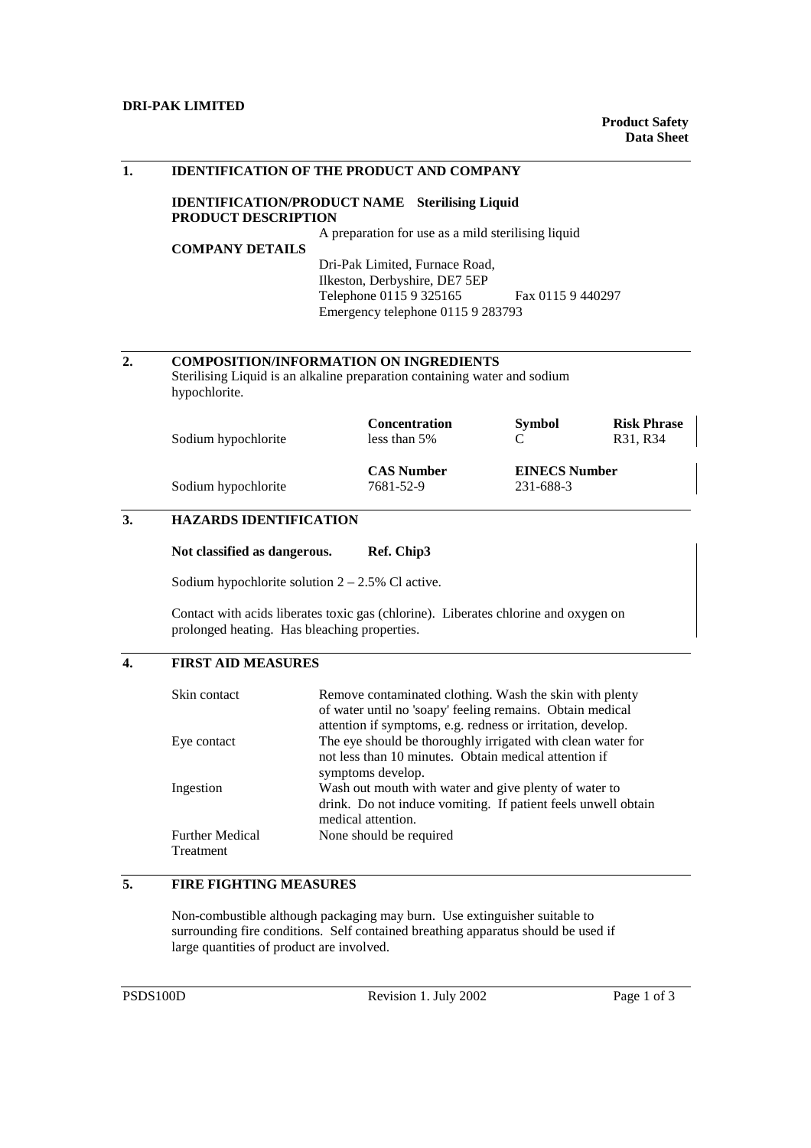## **DRI-PAK LIMITED**

| 1. | <b>IDENTIFICATION OF THE PRODUCT AND COMPANY</b>                                                                                            |                                      |                      |                                |  |  |
|----|---------------------------------------------------------------------------------------------------------------------------------------------|--------------------------------------|----------------------|--------------------------------|--|--|
|    | <b>IDENTIFICATION/PRODUCT NAME</b><br><b>Sterilising Liquid</b><br><b>PRODUCT DESCRIPTION</b>                                               |                                      |                      |                                |  |  |
|    | A preparation for use as a mild sterilising liquid                                                                                          |                                      |                      |                                |  |  |
|    | <b>COMPANY DETAILS</b>                                                                                                                      |                                      |                      |                                |  |  |
|    |                                                                                                                                             | Dri-Pak Limited, Furnace Road,       |                      |                                |  |  |
|    |                                                                                                                                             | Ilkeston, Derbyshire, DE7 5EP        |                      |                                |  |  |
|    |                                                                                                                                             | Telephone 0115 9 325165              | Fax 0115 9 440297    |                                |  |  |
|    | Emergency telephone 0115 9 283793                                                                                                           |                                      |                      |                                |  |  |
|    |                                                                                                                                             |                                      |                      |                                |  |  |
|    |                                                                                                                                             |                                      |                      |                                |  |  |
| 2. | <b>COMPOSITION/INFORMATION ON INGREDIENTS</b><br>Sterilising Liquid is an alkaline preparation containing water and sodium<br>hypochlorite. |                                      |                      |                                |  |  |
|    | Sodium hypochlorite                                                                                                                         | <b>Concentration</b><br>less than 5% | <b>Symbol</b><br>C   | <b>Risk Phrase</b><br>R31, R34 |  |  |
|    |                                                                                                                                             | <b>CAS Number</b>                    | <b>EINECS Number</b> |                                |  |  |
|    | Sodium hypochlorite                                                                                                                         | 7681-52-9                            | 231-688-3            |                                |  |  |
| 3. | <b>HAZARDS IDENTIFICATION</b>                                                                                                               |                                      |                      |                                |  |  |
|    | Not classified as dangerous.                                                                                                                | Ref. Chip3                           |                      |                                |  |  |
|    | Sodium hypochlorite solution $2 - 2.5\%$ Cl active.                                                                                         |                                      |                      |                                |  |  |
|    | Contact with acids liberates toxic gas (chlorine). Liberates chlorine and oxygen on<br>prolonged heating. Has bleaching properties.         |                                      |                      |                                |  |  |

## **4. FIRST AID MEASURES**

| Skin contact                        | Remove contaminated clothing. Wash the skin with plenty<br>of water until no 'soapy' feeling remains. Obtain medical<br>attention if symptoms, e.g. redness or irritation, develop. |
|-------------------------------------|-------------------------------------------------------------------------------------------------------------------------------------------------------------------------------------|
| Eye contact                         | The eye should be thoroughly irrigated with clean water for<br>not less than 10 minutes. Obtain medical attention if<br>symptoms develop.                                           |
| Ingestion                           | Wash out mouth with water and give plenty of water to<br>drink. Do not induce vomiting. If patient feels unwell obtain<br>medical attention.                                        |
| <b>Further Medical</b><br>Treatment | None should be required                                                                                                                                                             |

# **5. FIRE FIGHTING MEASURES**

Non-combustible although packaging may burn. Use extinguisher suitable to surrounding fire conditions. Self contained breathing apparatus should be used if large quantities of product are involved.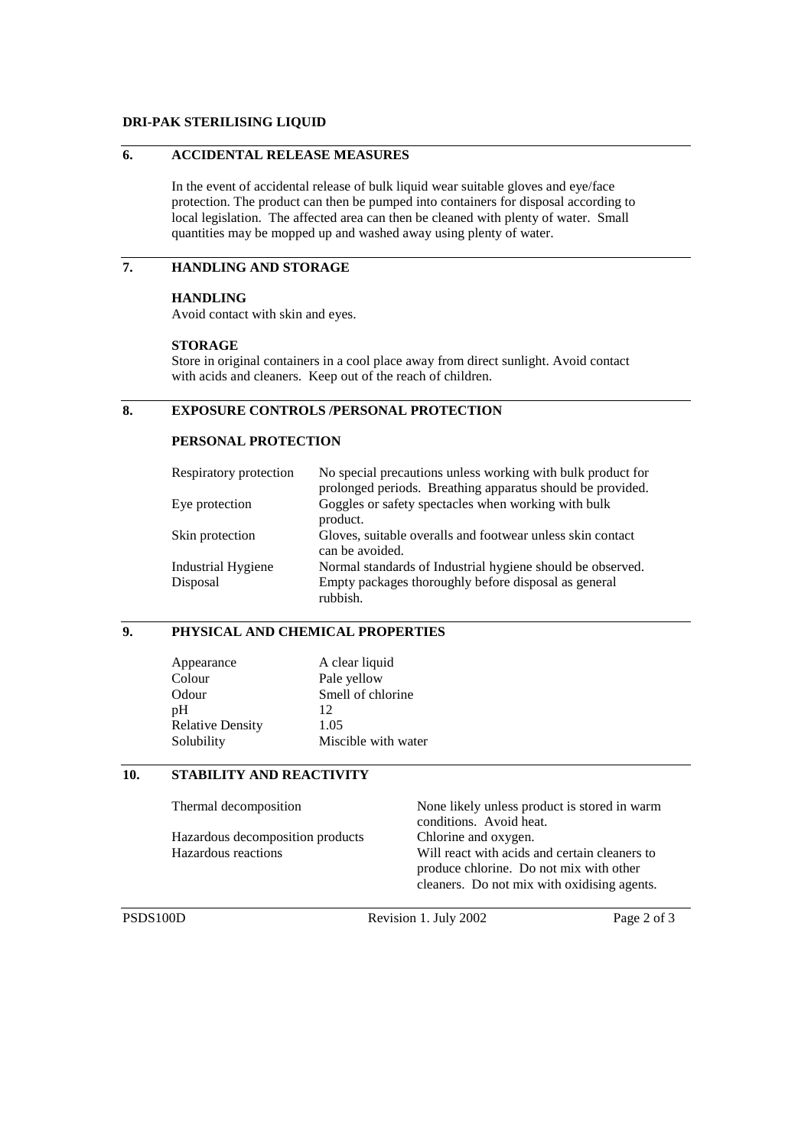#### **DRI-PAK STERILISING LIQUID**

## **6. ACCIDENTAL RELEASE MEASURES**

In the event of accidental release of bulk liquid wear suitable gloves and eye/face protection. The product can then be pumped into containers for disposal according to local legislation. The affected area can then be cleaned with plenty of water. Small quantities may be mopped up and washed away using plenty of water.

# **7. HANDLING AND STORAGE**

#### **HANDLING**

Avoid contact with skin and eyes.

#### **STORAGE**

Store in original containers in a cool place away from direct sunlight. Avoid contact with acids and cleaners. Keep out of the reach of children.

# **8. EXPOSURE CONTROLS /PERSONAL PROTECTION**

## **PERSONAL PROTECTION**

| Respiratory protection | No special precautions unless working with bulk product for<br>prolonged periods. Breathing apparatus should be provided. |
|------------------------|---------------------------------------------------------------------------------------------------------------------------|
| Eye protection         | Goggles or safety spectacles when working with bulk<br>product.                                                           |
| Skin protection        | Gloves, suitable overalls and footwear unless skin contact<br>can be avoided.                                             |
| Industrial Hygiene     | Normal standards of Industrial hygiene should be observed.                                                                |
| Disposal               | Empty packages thoroughly before disposal as general<br>rubbish.                                                          |

## **9. PHYSICAL AND CHEMICAL PROPERTIES**

| Appearance              | A clear liquid      |
|-------------------------|---------------------|
| Colour                  | Pale yellow         |
| Odour                   | Smell of chlorine   |
| pH                      | 12                  |
| <b>Relative Density</b> | 1.05                |
| Solubility              | Miscible with water |

### **10. STABILITY AND REACTIVITY**

| None likely unless product is stored in warm  |  |
|-----------------------------------------------|--|
| conditions. Avoid heat.                       |  |
| Chlorine and oxygen.                          |  |
| Will react with acids and certain cleaners to |  |
| produce chlorine. Do not mix with other       |  |
| cleaners. Do not mix with oxidising agents.   |  |
|                                               |  |

PSDS100D Revision 1. July 2002 Page 2 of 3